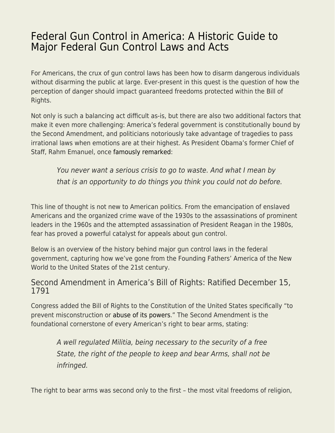## [Federal Gun Control in America: A Historic Guide to](https://everything-voluntary.com/federal-gun-control-in-america-a-historic-guide-to-major-federal-gun-control-laws-and-acts) [Major Federal Gun Control Laws and Acts](https://everything-voluntary.com/federal-gun-control-in-america-a-historic-guide-to-major-federal-gun-control-laws-and-acts)

For Americans, the crux of gun control laws has been how to disarm dangerous individuals without disarming the public at large. Ever-present in this quest is the question of how the perception of danger should impact guaranteed freedoms protected within the Bill of Rights.

Not only is such a balancing act difficult as-is, but there are also two additional factors that make it even more challenging: America's federal government is constitutionally bound by the Second Amendment, and politicians notoriously take advantage of tragedies to pass irrational laws when emotions are at their highest. As President Obama's former Chief of Staff, Rahm Emanuel, once [famously remarked](https://fee.org/articles/rahms-rule-of-crisis-management-a-footnote-to-the-theory-of-regulation/):

You never want a serious crisis to go to waste. And what I mean by that is an opportunity to do things you think you could not do before.

This line of thought is not new to American politics. From the emancipation of enslaved Americans and the organized crime wave of the 1930s to the assassinations of prominent leaders in the 1960s and the attempted assassination of President Reagan in the 1980s, fear has proved a powerful catalyst for appeals about gun control.

Below is an overview of the history behind major gun control laws in the federal government, capturing how we've gone from the Founding Fathers' America of the New World to the United States of the 21st century.

## Second Amendment in America's Bill of Rights: Ratified December 15, 1791

Congress added the Bill of Rights to the Constitution of the United States specifically "to prevent misconstruction or [abuse of its powers](https://ammo.com/articles/democide-hitler-stalin-mao-state-violence-guide)." The Second Amendment is the foundational cornerstone of every American's right to bear arms, stating:

A well regulated Militia, being necessary to the security of a free State, the right of the people to keep and bear Arms, shall not be infringed.

The right to bear arms was second only to the first – the most vital freedoms of religion,